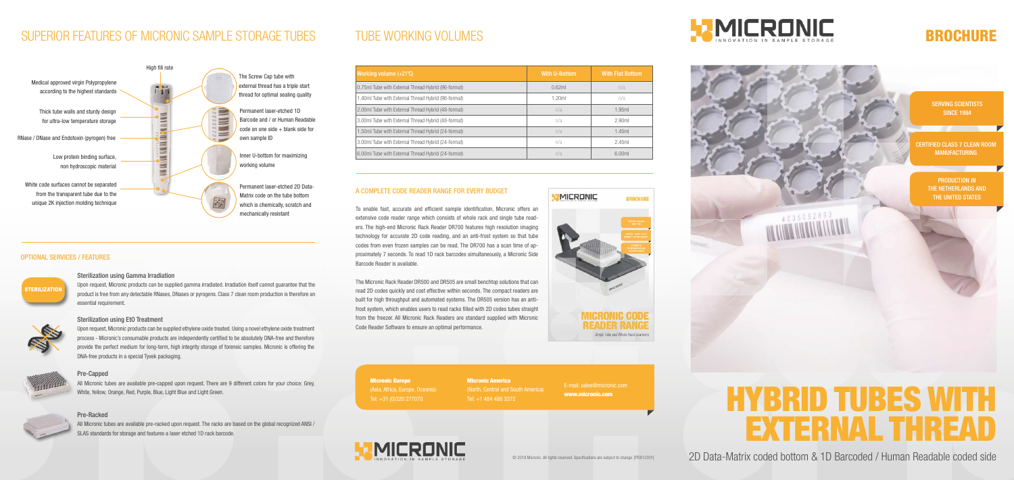# HYBRID TUBES WITH EXTERNAL THREAD

PRODUCTION IN THE NETHERLANDS AND THE UNITED STATES

2D Data-Matrix coded bottom & 1D Barcoded / Human Readable coded side

CERTIFIED CLASS 7 CLEAN ROOM MANUFACTURING

SERVING SCIENTISTS SINCE 1984



### OPTIONAL SERVICES / FEATURES

### Sterilization using Gamma Irradiation

Upon request, Micronic products can be supplied gamma irradiated. Irradiation itself cannot guarantee that the product is free from any detectable RNases, DNases or pyrogens. Class 7 clean room production is therefore an essential requirement.





### Sterilization using EtO Treatment

Upon request, Micronic products can be supplied ethylene oxide treated. Using a novel ethylene oxide treatment process - Micronic's consumable products are independently certified to be absolutely DNA-free and therefore provide the perfect medium for long-term, high integrity storage of forensic samples. Micronic is offering the DNA-free products in a special Tyvek packaging.



### Pre-Capped

All Micronic tubes are available pre-capped upon request. There are 9 different colors for your choice: Grey, White, Yellow, Orange, Red, Purple, Blue, Light Blue and Light Green.



### Pre-Racked

All Micronic tubes are available pre-racked upon request. The racks are based on the global recognized ANSI / SLAS standards for storage and features a laser etched 1D rack barcode.

Micronic Europe (Asia, Africa, Europe, Oceania) Tel: +31 (0)320 277070

Micronic America (North, Central and South America) Tel: +1 484 480 3372





E-mail: sales@micronic.com www.micronic.com

© 2019 Micronic. All rights reserved. Specifications are subject to change. [PD812301]

### A COMPLETE CODE READER RANGE FOR EVERY BUDGET

To enable fast, accurate and efficient sample identification, Micronic offers an extensive code reader range which consists of whole rack and single tube readers. The high-end Micronic Rack Reader DR700 features high resolution imaging technology for accurate 2D code reading, and an anti-frost system so that tube codes from even frozen samples can be read. The DR700 has a scan time of approximately 7 seconds. To read 1D rack barcodes simultaneously, a Micronic Side Barcode Reader is available.

The Micronic Rack Reader DR500 and DR505 are small benchtop solutions that can read 2D codes quickly and cost effective within seconds. The compact readers are built for high throughput and automated systems. The DR505 version has an antifrost system, which enables users to read racks filled with 2D codes tubes straight from the freezer. All Micronic Rack Readers are standard supplied with Micronic Code Reader Software to ensure an optimal performance.

## TUBE WORKING VOLUMES

| Working volume (+21°C)                              | <b>With U-Bottom</b> | <b>With Flat Bottom</b> |
|-----------------------------------------------------|----------------------|-------------------------|
| 0.75ml Tube with External Thread Hybrid (96-format) | 0.62ml               | n/a                     |
| 1.40ml Tube with External Thread Hybrid (96-format) | 1.20ml               | n/a                     |
| 2.00ml Tube with External Thread Hybrid (48-format) | n/a                  | 1.95ml                  |
| 3.00ml Tube with External Thread Hybrid (48-format) | n/a                  | 2.90ml                  |
| 1.50ml Tube with External Thread Hybrid (24-format) | n/a                  | 1.45ml                  |
| 3.00ml Tube with External Thread Hybrid (24-format) | n/a                  | 2.45ml                  |
| 6.00ml Tube with External Thread Hybrid (24-format) | n/a                  | 6.00ml                  |

## SUPERIOR FEATURES OF MICRONIC SAMPLE STORAGE TUBES TUBE WORKING VOLUMES **EXAMPLE STORAGE STORAGE BROCHURE**